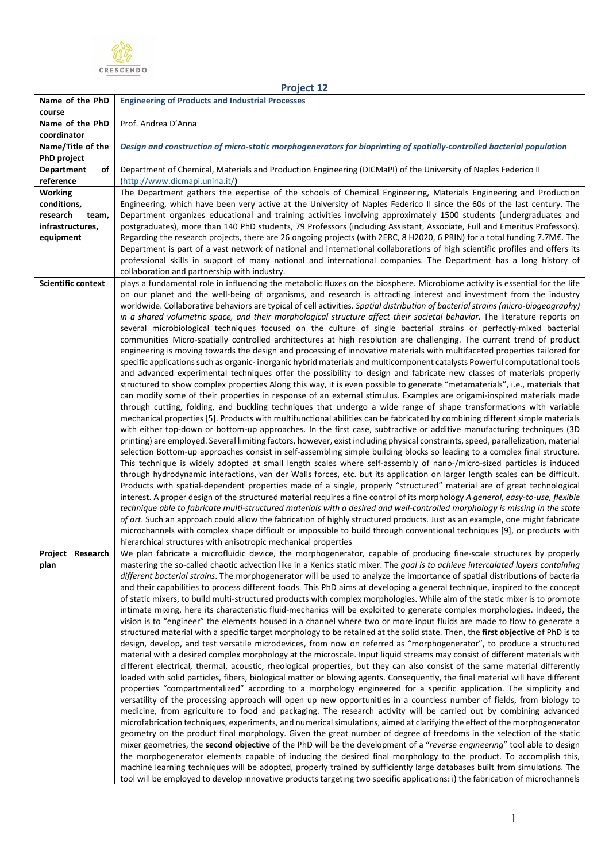

**Name of the PhD** 

## **course Name of the PhD coordinator** Prof. Andrea D'Anna **Name/Title of the PhD project** *Design and construction of micro-static morphogenerators for bioprinting of spatially-controlled bacterial population* **Department of reference** Department of Chemical, Materials and Production Engineering (DICMaPI) of the University of Naples Federico II (http://www.dicmapi.unina.it/**) Working conditions, research team, infrastructures, equipment** The Department gathers the expertise of the schools of Chemical Engineering, Materials Engineering and Production Engineering, which have been very active at the University of Naples Federico II since the 60s of the last century. The Department organizes educational and training activities involving approximately 1500 students (undergraduates and postgraduates), more than 140 PhD students, 79 Professors (including Assistant, Associate, Full and Emeritus Professors). Regarding the research projects, there are 26 ongoing projects (with 2ERC, 8 H2020, 6 PRIN) for a total funding 7.7M€. The Department is part of a vast network of national and international collaborations of high scientific profiles and offers its professional skills in support of many national and international companies. The Department has a long history of collaboration and partnership with industry. **Scientific context** | plays a fundamental role in influencing the metabolic fluxes on the biosphere. Microbiome activity is essential for the life on our planet and the well-being of organisms, and research is attracting interest and investment from the industry worldwide. Collaborative behaviors are typical of cell activities. *Spatial distribution of bacterial strains (micro-biogeography) in a shared volumetric space, and their morphological structure affect their societal behavior*. The literature reports on several microbiological techniques focused on the culture of single bacterial strains or perfectly-mixed bacterial communities Micro-spatially controlled architectures at high resolution are challenging. The current trend of product engineering is moving towards the design and processing of innovative materials with multifaceted properties tailored for specific applications such as organic- inorganic hybrid materials and multicomponent catalysts Powerful computational tools and advanced experimental techniques offer the possibility to design and fabricate new classes of materials properly structured to show complex properties Along this way, it is even possible to generate "metamaterials", i.e., materials that can modify some of their properties in response of an external stimulus. Examples are origami-inspired materials made through cutting, folding, and buckling techniques that undergo a wide range of shape transformations with variable mechanical properties [5]. Products with multifunctional abilities can be fabricated by combining different simple materials with either top-down or bottom-up approaches. In the first case, subtractive or additive manufacturing techniques (3D printing) are employed. Several limiting factors, however, exist including physical constraints, speed, parallelization, material selection Bottom-up approaches consist in self-assembling simple building blocks so leading to a complex final structure. This technique is widely adopted at small length scales where self-assembly of nano-/micro-sized particles is induced through hydrodynamic interactions, van der Walls forces, etc. but its application on larger length scales can be difficult. Products with spatial-dependent properties made of a single, properly "structured" material are of great technological interest. A proper design of the structured material requires a fine control of its morphology *A general, easy-to-use, flexible technique able to fabricate multi-structured materials with a desired and well-controlled morphology is missing in the state of art*. Such an approach could allow the fabrication of highly structured products. Just as an example, one might fabricate microchannels with complex shape difficult or impossible to build through conventional techniques [9], or products with hierarchical structures with anisotropic mechanical properties **Project Research plan**  We plan fabricate a microfluidic device, the morphogenerator, capable of producing fine-scale structures by properly mastering the so-called chaotic advection like in a Kenics static mixer. The *goal is to achieve intercalated layers containing different bacterial strains*. The morphogenerator will be used to analyze the importance of spatial distributions of bacteria and their capabilities to process different foods. This PhD aims at developing a general technique, inspired to the concept of static mixers, to build multi-structured products with complex morphologies. While aim of the static mixer is to promote intimate mixing, here its characteristic fluid-mechanics will be exploited to generate complex morphologies. Indeed, the vision is to "engineer" the elements housed in a channel where two or more input fluids are made to flow to generate a structured material with a specific target morphology to be retained at the solid state. Then, the **first objective** of PhD is to design, develop, and test versatile microdevices, from now on referred as "morphogenerator", to produce a structured material with a desired complex morphology at the microscale. Input liquid streams may consist of different materials with different electrical, thermal, acoustic, rheological properties, but they can also consist of the same material differently loaded with solid particles, fibers, biological matter or blowing agents. Consequently, the final material will have different properties "compartmentalized" according to a morphology engineered for a specific application. The simplicity and versatility of the processing approach will open up new opportunities in a countless number of fields, from biology to medicine, from agriculture to food and packaging. The research activity will be carried out by combining advanced microfabrication techniques, experiments, and numerical simulations, aimed at clarifying the effect of the morphogenerator geometry on the product final morphology. Given the great number of degree of freedoms in the selection of the static mixer geometries, the **second objective** of the PhD will be the development of a "*reverse engineering*" tool able to design the morphogenerator elements capable of inducing the desired final morphology to the product. To accomplish this, machine learning techniques will be adopted, properly trained by sufficiently large databases built from simulations. The tool will be employed to develop innovative products targeting two specific applications: i) the fabrication of microchannels

**Project 12**

**Engineering of Products and Industrial Processes**